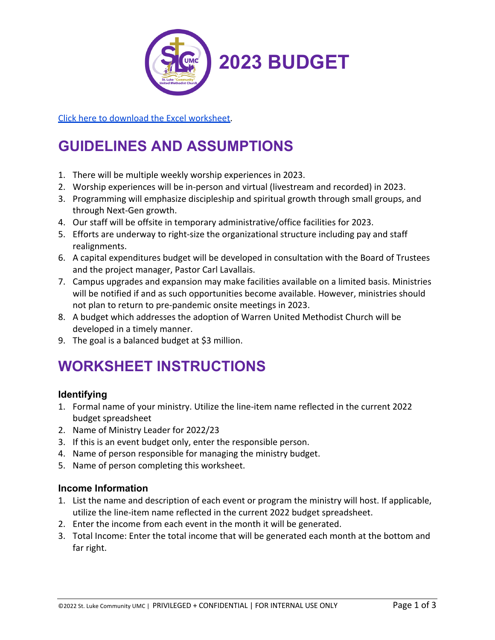

[Click here to download the Excel worksheet.](https://files.constantcontact.com/8b210f68401/205fa7ad-cdd4-44d6-8304-4755fb6583d4.xls)

# **GUIDELINES AND ASSUMPTIONS**

- 1. There will be multiple weekly worship experiences in 2023.
- 2. Worship experiences will be in-person and virtual (livestream and recorded) in 2023.
- 3. Programming will emphasize discipleship and spiritual growth through small groups, and through Next-Gen growth.
- 4. Our staff will be offsite in temporary administrative/office facilities for 2023.
- 5. Efforts are underway to right-size the organizational structure including pay and staff realignments.
- 6. A capital expenditures budget will be developed in consultation with the Board of Trustees and the project manager, Pastor Carl Lavallais.
- 7. Campus upgrades and expansion may make facilities available on a limited basis. Ministries will be notified if and as such opportunities become available. However, ministries should not plan to return to pre-pandemic onsite meetings in 2023.
- 8. A budget which addresses the adoption of Warren United Methodist Church will be developed in a timely manner.
- 9. The goal is a balanced budget at \$3 million.

## **WORKSHEET INSTRUCTIONS**

### **Identifying**

- 1. Formal name of your ministry. Utilize the line-item name reflected in the current 2022 budget spreadsheet
- 2. Name of Ministry Leader for 2022/23
- 3. If this is an event budget only, enter the responsible person.
- 4. Name of person responsible for managing the ministry budget.
- 5. Name of person completing this worksheet.

#### **Income Information**

- 1. List the name and description of each event or program the ministry will host. If applicable, utilize the line-item name reflected in the current 2022 budget spreadsheet.
- 2. Enter the income from each event in the month it will be generated.
- 3. Total Income: Enter the total income that will be generated each month at the bottom and far right.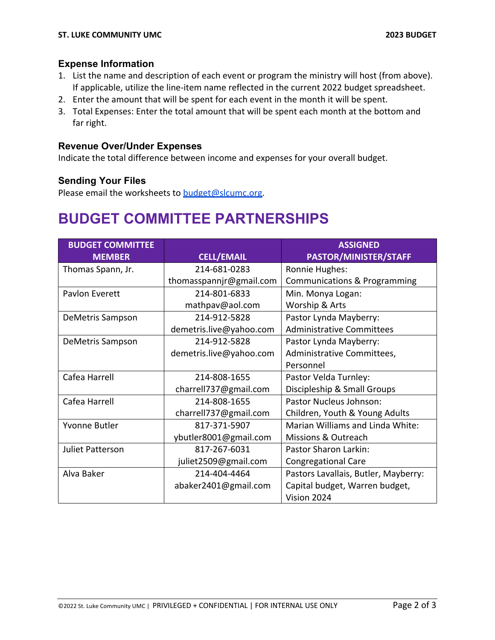#### **Expense Information**

- 1. List the name and description of each event or program the ministry will host (from above). If applicable, utilize the line-item name reflected in the current 2022 budget spreadsheet.
- 2. Enter the amount that will be spent for each event in the month it will be spent.
- 3. Total Expenses: Enter the total amount that will be spent each month at the bottom and far right.

#### **Revenue Over/Under Expenses**

Indicate the total difference between income and expenses for your overall budget.

#### **Sending Your Files**

Please email the worksheets to budget@slcumc.org.

## **BUDGET COMMITTEE PARTNERSHIPS**

| <b>BUDGET COMMITTEE</b> |                         | <b>ASSIGNED</b>                         |
|-------------------------|-------------------------|-----------------------------------------|
| <b>MEMBER</b>           | <b>CELL/EMAIL</b>       | PASTOR/MINISTER/STAFF                   |
| Thomas Spann, Jr.       | 214-681-0283            | Ronnie Hughes:                          |
|                         | thomasspannjr@gmail.com | <b>Communications &amp; Programming</b> |
| Pavlon Everett          | 214-801-6833            | Min. Monya Logan:                       |
|                         | mathpav@aol.com         | Worship & Arts                          |
| DeMetris Sampson        | 214-912-5828            | Pastor Lynda Mayberry:                  |
|                         | demetris.live@yahoo.com | <b>Administrative Committees</b>        |
| DeMetris Sampson        | 214-912-5828            | Pastor Lynda Mayberry:                  |
|                         | demetris.live@yahoo.com | Administrative Committees,              |
|                         |                         | Personnel                               |
| Cafea Harrell           | 214-808-1655            | Pastor Velda Turnley:                   |
|                         | charrell737@gmail.com   | Discipleship & Small Groups             |
| Cafea Harrell           | 214-808-1655            | Pastor Nucleus Johnson:                 |
|                         | charrell737@gmail.com   | Children, Youth & Young Adults          |
| Yvonne Butler           | 817-371-5907            | Marian Williams and Linda White:        |
|                         | ybutler8001@gmail.com   | Missions & Outreach                     |
| <b>Juliet Patterson</b> | 817-267-6031            | <b>Pastor Sharon Larkin:</b>            |
|                         | juliet2509@gmail.com    | <b>Congregational Care</b>              |
| Alva Baker              | 214-404-4464            | Pastors Lavallais, Butler, Mayberry:    |
|                         | abaker2401@gmail.com    | Capital budget, Warren budget,          |
|                         |                         | Vision 2024                             |